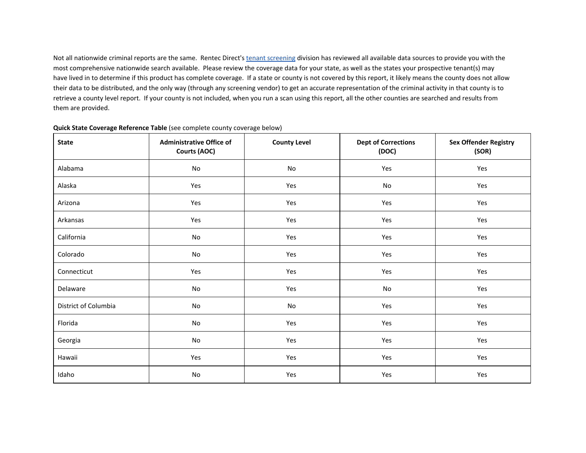Not all nationwide criminal reports are the same. Rentec Direct's tenant [screening](http://www.google.com/url?q=http%3A%2F%2Fwww.rentecdirect.com%2Fscreening%2F&sa=D&sntz=1&usg=AFQjCNENuCiuzCCwdeLK1Z6LclCuiEt4jw) division has reviewed all available data sources to provide you with the most comprehensive nationwide search available. Please review the coverage data for your state, as well as the states your prospective tenant(s) may have lived in to determine if this product has complete coverage. If a state or county is not covered by this report, it likely means the county does not allow their data to be distributed, and the only way (through any screening vendor) to get an accurate representation of the criminal activity in that county is to retrieve a county level report. If your county is not included, when you run a scan using this report, all the other counties are searched and results from them are provided.

| <b>State</b>         | <b>Administrative Office of</b><br>Courts (AOC) | <b>County Level</b> | <b>Dept of Corrections</b><br>(DOC) | <b>Sex Offender Registry</b><br>(SOR) |
|----------------------|-------------------------------------------------|---------------------|-------------------------------------|---------------------------------------|
| Alabama              | No                                              | No                  | Yes                                 | Yes                                   |
| Alaska               | Yes                                             | Yes                 | No                                  | Yes                                   |
| Arizona              | Yes                                             | Yes                 | Yes                                 | Yes                                   |
| Arkansas             | Yes                                             | Yes                 | Yes                                 | Yes                                   |
| California           | No                                              | Yes                 | Yes                                 | Yes                                   |
| Colorado             | No                                              | Yes                 | Yes                                 | Yes                                   |
| Connecticut          | Yes                                             | Yes                 | Yes                                 | Yes                                   |
| Delaware             | No                                              | Yes                 | No                                  | Yes                                   |
| District of Columbia | No                                              | No                  | Yes                                 | Yes                                   |
| Florida              | No                                              | Yes                 | Yes                                 | Yes                                   |
| Georgia              | No                                              | Yes                 | Yes                                 | Yes                                   |
| Hawaii               | Yes                                             | Yes                 | Yes                                 | Yes                                   |
| Idaho                | $\mathsf{No}$                                   | Yes                 | Yes                                 | Yes                                   |

## **Quick State Coverage Reference Table** (see complete county coverage below)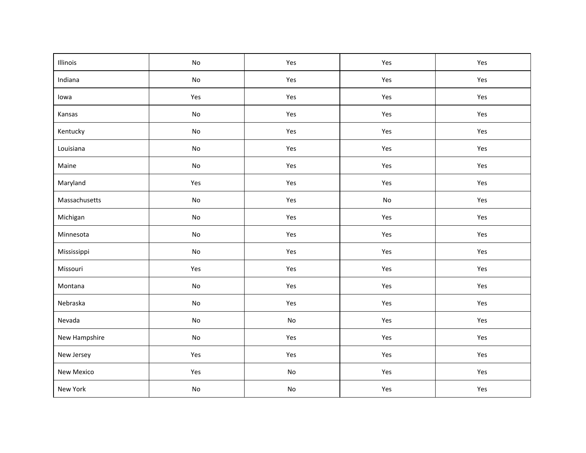| Illinois      | No                           | Yes                          | Yes                          | Yes |
|---------------|------------------------------|------------------------------|------------------------------|-----|
| Indiana       | $\mathsf{No}$                | Yes                          | Yes                          | Yes |
| lowa          | Yes                          | Yes                          | Yes                          | Yes |
| Kansas        | No                           | Yes                          | Yes                          | Yes |
| Kentucky      | No                           | Yes                          | Yes                          | Yes |
| Louisiana     | $\mathsf{No}$                | Yes                          | Yes                          | Yes |
| Maine         | $\mathsf{No}$                | Yes                          | Yes                          | Yes |
| Maryland      | Yes                          | Yes                          | Yes                          | Yes |
| Massachusetts | $\operatorname{\mathsf{No}}$ | Yes                          | $\operatorname{\mathsf{No}}$ | Yes |
| Michigan      | $\mathsf{No}$                | Yes                          | Yes                          | Yes |
| Minnesota     | $\mathsf{No}$                | Yes                          | Yes                          | Yes |
| Mississippi   | $\mathsf{No}$                | Yes                          | Yes                          | Yes |
| Missouri      | Yes                          | Yes                          | Yes                          | Yes |
| Montana       | $\mathsf{No}$                | Yes                          | Yes                          | Yes |
| Nebraska      | $\mathsf{No}$                | Yes                          | Yes                          | Yes |
| Nevada        | $\mathsf{No}$                | $\mathsf{No}$                | Yes                          | Yes |
| New Hampshire | $\mathsf{No}$                | Yes                          | Yes                          | Yes |
| New Jersey    | Yes                          | Yes                          | Yes                          | Yes |
| New Mexico    | Yes                          | $\operatorname{\mathsf{No}}$ | Yes                          | Yes |
| New York      | $\mathsf{No}$                | No                           | Yes                          | Yes |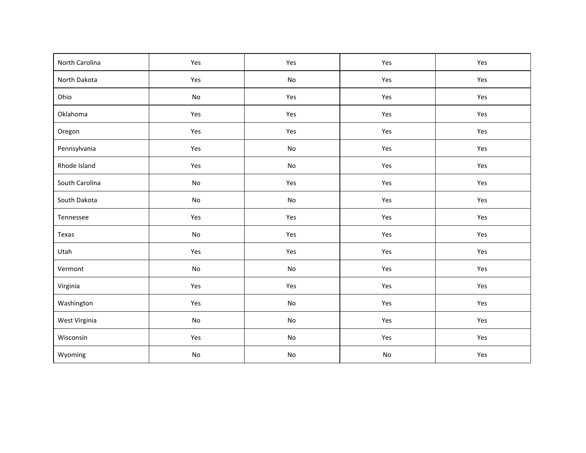| North Carolina | Yes           | Yes           | Yes           | Yes |
|----------------|---------------|---------------|---------------|-----|
| North Dakota   | Yes           | $\mathsf{No}$ | Yes           | Yes |
| Ohio           | No            | Yes           | Yes           | Yes |
| Oklahoma       | Yes           | Yes           | Yes           | Yes |
| Oregon         | Yes           | Yes           | Yes           | Yes |
| Pennsylvania   | Yes           | $\mathsf{No}$ | Yes           | Yes |
| Rhode Island   | Yes           | $\mathsf{No}$ | Yes           | Yes |
| South Carolina | $\mathsf{No}$ | Yes           | Yes           | Yes |
| South Dakota   | $\mathsf{No}$ | $\mathsf{No}$ | Yes           | Yes |
| Tennessee      | Yes           | Yes           | Yes           | Yes |
| Texas          | $\mathsf{No}$ | Yes           | Yes           | Yes |
| Utah           | Yes           | Yes           | Yes           | Yes |
| Vermont        | $\mathsf{No}$ | $\mathsf{No}$ | Yes           | Yes |
| Virginia       | Yes           | Yes           | Yes           | Yes |
| Washington     | Yes           | $\mathsf{No}$ | Yes           | Yes |
| West Virginia  | $\mathsf{No}$ | $\mathsf{No}$ | Yes           | Yes |
| Wisconsin      | Yes           | $\mathsf{No}$ | Yes           | Yes |
| Wyoming        | $\mathsf{No}$ | $\mathsf{No}$ | $\mathsf{No}$ | Yes |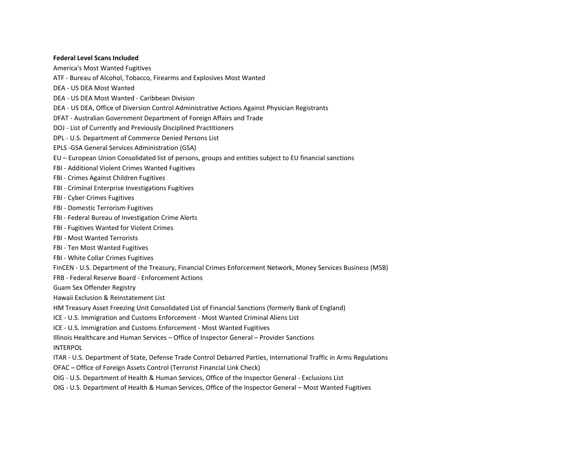## **Federal Level Scans Included**

America's Most Wanted Fugitives

- ATF Bureau of Alcohol, Tobacco, Firearms and Explosives Most Wanted
- DEA US DEA Most Wanted
- DEA US DEA Most Wanted Caribbean Division
- DEA US DEA, Office of Diversion Control Administrative Actions Against Physician Registrants
- DFAT Australian Government Department of Foreign Affairs and Trade
- DOJ List of Currently and Previously Disciplined Practitioners
- DPL U.S. Department of Commerce Denied Persons List
- EPLS -GSA General Services Administration (GSA)
- EU European Union Consolidated list of persons, groups and entities subject to EU financial sanctions
- FBI Additional Violent Crimes Wanted Fugitives
- FBI Crimes Against Children Fugitives
- FBI Criminal Enterprise Investigations Fugitives
- FBI Cyber Crimes Fugitives
- FBI Domestic Terrorism Fugitives
- FBI Federal Bureau of Investigation Crime Alerts
- FBI Fugitives Wanted for Violent Crimes
- FBI Most Wanted Terrorists
- FBI Ten Most Wanted Fugitives
- FBI White Collar Crimes Fugitives
- FinCEN U.S. Department of the Treasury, Financial Crimes Enforcement Network, Money Services Business (MSB)
- FRB Federal Reserve Board Enforcement Actions
- Guam Sex Offender Registry
- Hawaii Exclusion & Reinstatement List
- HM Treasury Asset Freezing Unit Consolidated List of Financial Sanctions (formerly Bank of England)
- ICE U.S. Immigration and Customs Enforcement Most Wanted Criminal Aliens List
- ICE U.S. Immigration and Customs Enforcement Most Wanted Fugitives
- Illinois Healthcare and Human Services Office of Inspector General Provider Sanctions
- INTERPOL
- ITAR U.S. Department of State, Defense Trade Control Debarred Parties, International Traffic in Arms Regulations
- OFAC Office of Foreign Assets Control (Terrorist Financial Link Check)
- OIG U.S. Department of Health & Human Services, Office of the Inspector General Exclusions List
- OIG U.S. Department of Health & Human Services, Office of the Inspector General Most Wanted Fugitives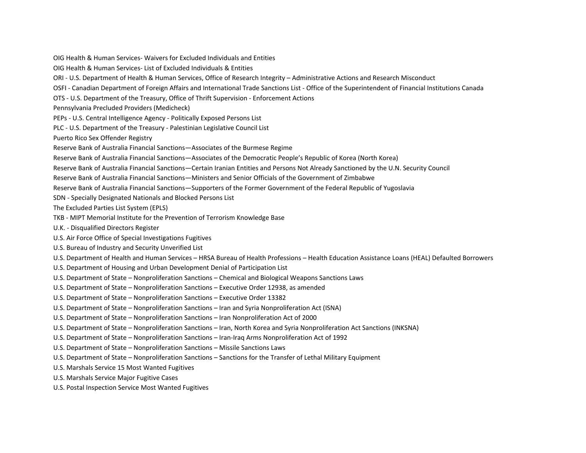OIG Health & Human Services- Waivers for Excluded Individuals and Entities

- OIG Health & Human Services- List of Excluded Individuals & Entities
- ORI U.S. Department of Health & Human Services, Office of Research Integrity Administrative Actions and Research Misconduct
- OSFI Canadian Department of Foreign Affairs and International Trade Sanctions List Office of the Superintendent of Financial Institutions Canada
- OTS U.S. Department of the Treasury, Office of Thrift Supervision Enforcement Actions
- Pennsylvania Precluded Providers (Medicheck)
- PEPs U.S. Central Intelligence Agency Politically Exposed Persons List
- PLC U.S. Department of the Treasury Palestinian Legislative Council List
- Puerto Rico Sex Offender Registry
- Reserve Bank of Australia Financial Sanctions—Associates of the Burmese Regime
- Reserve Bank of Australia Financial Sanctions—Associates of the Democratic People's Republic of Korea (North Korea)
- Reserve Bank of Australia Financial Sanctions—Certain Iranian Entities and Persons Not Already Sanctioned by the U.N. Security Council
- Reserve Bank of Australia Financial Sanctions—Ministers and Senior Officials of the Government of Zimbabwe
- Reserve Bank of Australia Financial Sanctions—Supporters of the Former Government of the Federal Republic of Yugoslavia
- SDN Specially Designated Nationals and Blocked Persons List
- The Excluded Parties List System (EPLS)
- TKB MIPT Memorial Institute for the Prevention of Terrorism Knowledge Base
- U.K. Disqualified Directors Register
- U.S. Air Force Office of Special Investigations Fugitives
- U.S. Bureau of Industry and Security Unverified List
- U.S. Department of Health and Human Services HRSA Bureau of Health Professions Health Education Assistance Loans (HEAL) Defaulted Borrowers
- U.S. Department of Housing and Urban Development Denial of Participation List
- U.S. Department of State Nonproliferation Sanctions Chemical and Biological Weapons Sanctions Laws
- U.S. Department of State Nonproliferation Sanctions Executive Order 12938, as amended
- U.S. Department of State Nonproliferation Sanctions Executive Order 13382
- U.S. Department of State Nonproliferation Sanctions Iran and Syria Nonproliferation Act (ISNA)
- U.S. Department of State Nonproliferation Sanctions Iran Nonproliferation Act of 2000
- U.S. Department of State Nonproliferation Sanctions Iran, North Korea and Syria Nonproliferation Act Sanctions (INKSNA)
- U.S. Department of State Nonproliferation Sanctions Iran-Iraq Arms Nonproliferation Act of 1992
- U.S. Department of State Nonproliferation Sanctions Missile Sanctions Laws
- U.S. Department of State Nonproliferation Sanctions Sanctions for the Transfer of Lethal Military Equipment
- U.S. Marshals Service 15 Most Wanted Fugitives
- U.S. Marshals Service Major Fugitive Cases
- U.S. Postal Inspection Service Most Wanted Fugitives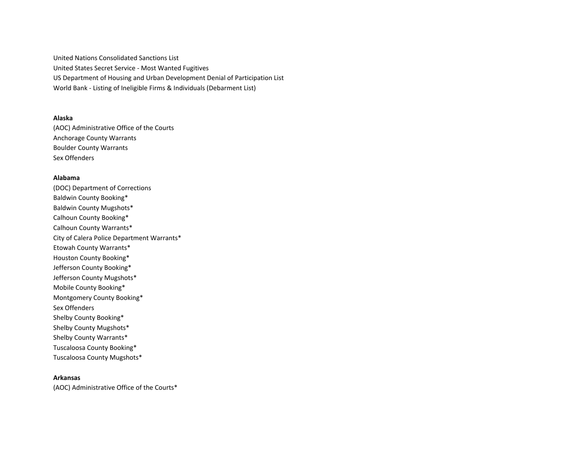United Nations Consolidated Sanctions List United States Secret Service - Most Wanted Fugitives US Department of Housing and Urban Development Denial of Participation List World Bank - Listing of Ineligible Firms & Individuals (Debarment List)

## **Alaska**

(AOC) Administrative Office of the Courts Anchorage County Warrants Boulder County Warrants Sex Offenders

#### **Alabama**

(DOC) Department of Corrections Baldwin County Booking\* Baldwin County Mugshots\* Calhoun County Booking\* Calhoun County Warrants\* City of Calera Police Department Warrants\* Etowah County Warrants\* Houston County Booking\* Jefferson County Booking\* Jefferson County Mugshots\* Mobile County Booking\* Montgomery County Booking\* Sex Offenders Shelby County Booking\* Shelby County Mugshots\* Shelby County Warrants\* Tuscaloosa County Booking\* Tuscaloosa County Mugshots\*

## **Arkansas**

(AOC) Administrative Office of the Courts\*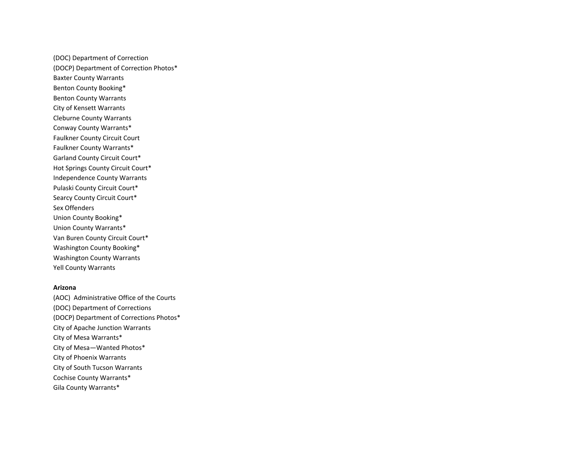(DOC) Department of Correction (DOCP) Department of Correction Photos\* Baxter County Warrants Benton County Booking\* Benton County Warrants City of Kensett Warrants Cleburne County Warrants Conway County Warrants\* Faulkner County Circuit Court Faulkner County Warrants\* Garland County Circuit Court\* Hot Springs County Circuit Court\* Independence County Warrants Pulaski County Circuit Court\* Searcy County Circuit Court\* Sex Offenders Union County Booking\* Union County Warrants\* Van Buren County Circuit Court\* Washington County Booking\* Washington County Warrants Yell County Warrants

### **Arizona**

(AOC) Administrative Office of the Courts (DOC) Department of Corrections (DOCP) Department of Corrections Photos\* City of Apache Junction Warrants City of Mesa Warrants\* City of Mesa—Wanted Photos\* City of Phoenix Warrants City of South Tucson Warrants Cochise County Warrants\* Gila County Warrants\*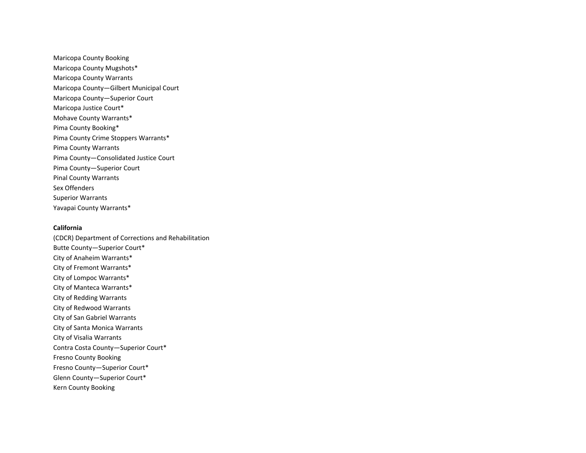Maricopa County Booking Maricopa County Mugshots\* Maricopa County Warrants Maricopa County—Gilbert Municipal Court Maricopa County—Superior Court Maricopa Justice Court\* Mohave County Warrants\* Pima County Booking\* Pima County Crime Stoppers Warrants\* Pima County Warrants Pima County—Consolidated Justice Court Pima County—Superior Court Pinal County Warrants Sex Offenders Superior Warrants Yavapai County Warrants\*

## **California**

(CDCR) Department of Corrections and Rehabilitation Butte County—Superior Court\* City of Anaheim Warrants\* City of Fremont Warrants\* City of Lompoc Warrants\* City of Manteca Warrants\* City of Redding Warrants City of Redwood Warrants City of San Gabriel Warrants City of Santa Monica Warrants City of Visalia Warrants Contra Costa County—Superior Court\* Fresno County Booking Fresno County—Superior Court\* Glenn County—Superior Court\* Kern County Booking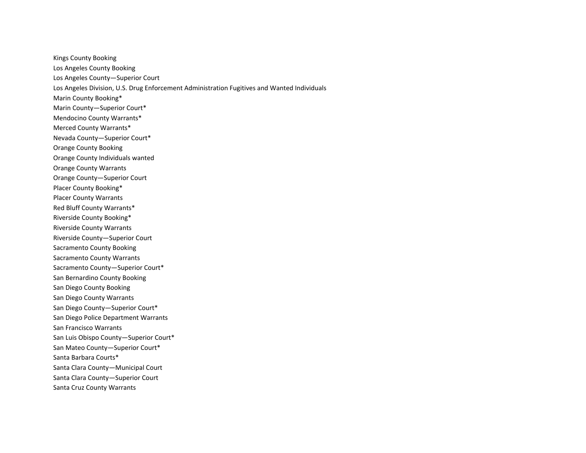Kings County Booking Los Angeles County Booking Los Angeles County—Superior Court Los Angeles Division, U.S. Drug Enforcement Administration Fugitives and Wanted Individuals Marin County Booking\* Marin County—Superior Court\* Mendocino County Warrants\* Merced County Warrants\* Nevada County—Superior Court\* Orange County Booking Orange County Individuals wanted Orange County Warrants Orange County—Superior Court Placer County Booking\* Placer County Warrants Red Bluff County Warrants\* Riverside County Booking\* Riverside County Warrants Riverside County—Superior Court Sacramento County Booking Sacramento County Warrants Sacramento County—Superior Court\* San Bernardino County Booking San Diego County Booking San Diego County Warrants San Diego County—Superior Court\* San Diego Police Department Warrants San Francisco Warrants San Luis Obispo County—Superior Court\* San Mateo County—Superior Court\* Santa Barbara Courts\* Santa Clara County—Municipal Court Santa Clara County—Superior Court Santa Cruz County Warrants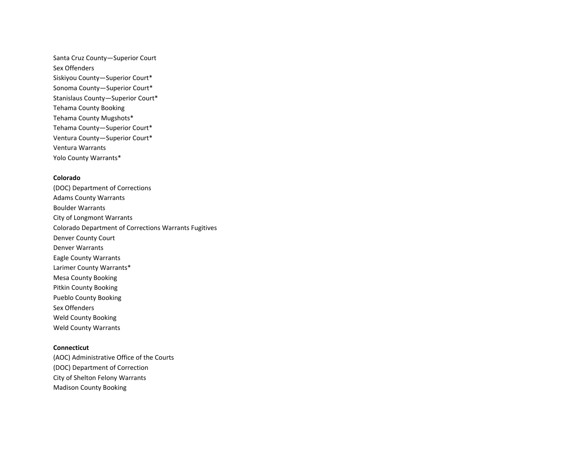Santa Cruz County—Superior Court Sex Offenders Siskiyou County—Superior Court\* Sonoma County—Superior Court\* Stanislaus County—Superior Court\* Tehama County Booking Tehama County Mugshots\* Tehama County—Superior Court\* Ventura County—Superior Court\* Ventura Warrants Yolo County Warrants\*

# **Colorado**

(DOC) Department of Corrections Adams County Warrants Boulder Warrants City of Longmont Warrants Colorado Department of Corrections Warrants Fugitives Denver County Court Denver Warrants Eagle County Warrants Larimer County Warrants\* Mesa County Booking Pitkin County Booking Pueblo County Booking Sex Offenders Weld County Booking Weld County Warrants

## **Connecticut**

(AOC) Administrative Office of the Courts (DOC) Department of Correction City of Shelton Felony Warrants Madison County Booking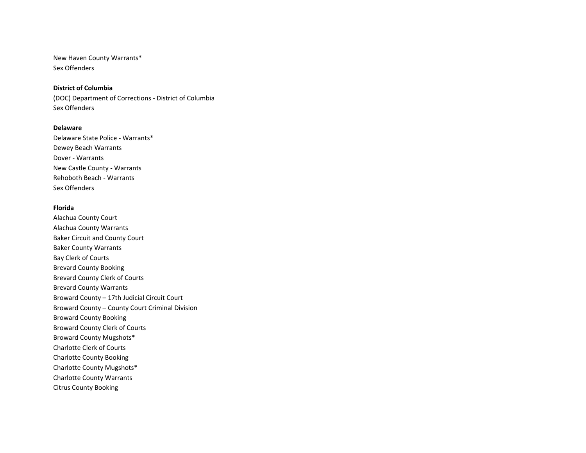New Haven County Warrants\* Sex Offenders

## **District of Columbia**

(DOC) Department of Corrections - District of Columbia Sex Offenders

### **Delaware**

Delaware State Police - Warrants\* Dewey Beach Warrants Dover - Warrants New Castle County - Warrants Rehoboth Beach - Warrants Sex Offenders

#### **Florida**

Alachua County Court Alachua County Warrants Baker Circuit and County Court Baker County Warrants Bay Clerk of Courts Brevard County Booking Brevard County Clerk of Courts Brevard County Warrants Broward County – 17th Judicial Circuit Court Broward County – County Court Criminal Division Broward County Booking Broward County Clerk of Courts Broward County Mugshots\* Charlotte Clerk of Courts Charlotte County Booking Charlotte County Mugshots\* Charlotte County Warrants Citrus County Booking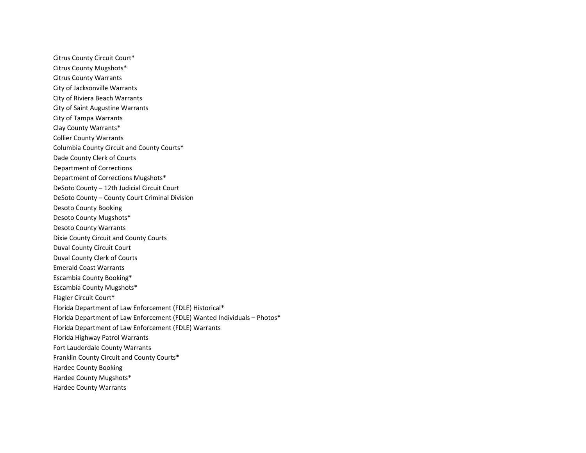Citrus County Circuit Court\* Citrus County Mugshots\* Citrus County Warrants City of Jacksonville Warrants City of Riviera Beach Warrants City of Saint Augustine Warrants City of Tampa Warrants Clay County Warrants\* Collier County Warrants Columbia County Circuit and County Courts\* Dade County Clerk of Courts Department of Corrections Department of Corrections Mugshots\* DeSoto County – 12th Judicial Circuit Court DeSoto County – County Court Criminal Division Desoto County Booking Desoto County Mugshots\* Desoto County Warrants Dixie County Circuit and County Courts Duval County Circuit Court Duval County Clerk of Courts Emerald Coast Warrants Escambia County Booking\* Escambia County Mugshots\* Flagler Circuit Court\* Florida Department of Law Enforcement (FDLE) Historical\* Florida Department of Law Enforcement (FDLE) Wanted Individuals – Photos\* Florida Department of Law Enforcement (FDLE) Warrants Florida Highway Patrol Warrants Fort Lauderdale County Warrants Franklin County Circuit and County Courts\* Hardee County Booking Hardee County Mugshots\* Hardee County Warrants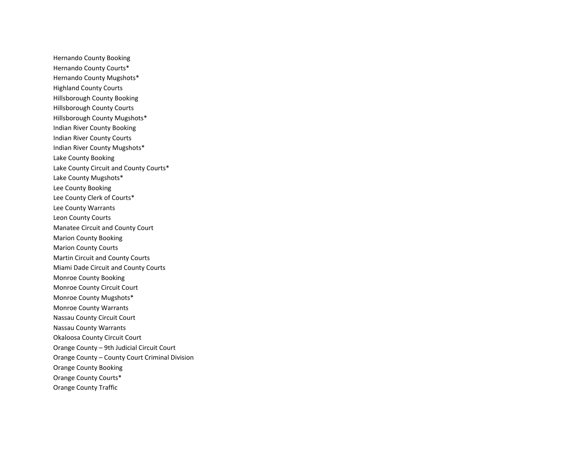Hernando County Booking Hernando County Courts\* Hernando County Mugshots\* Highland County Courts Hillsborough County Booking Hillsborough County Courts Hillsborough County Mugshots\* Indian River County Booking Indian River County Courts Indian River County Mugshots\* Lake County Booking Lake County Circuit and County Courts\* Lake County Mugshots\* Lee County Booking Lee County Clerk of Courts\* Lee County Warrants Leon County Courts Manatee Circuit and County Court Marion County Booking Marion County Courts Martin Circuit and County Courts Miami Dade Circuit and County Courts Monroe County Booking Monroe County Circuit Court Monroe County Mugshots\* Monroe County Warrants Nassau County Circuit Court Nassau County Warrants Okaloosa County Circuit Court Orange County – 9th Judicial Circuit Court Orange County – County Court Criminal Division Orange County Booking Orange County Courts\* Orange County Traffic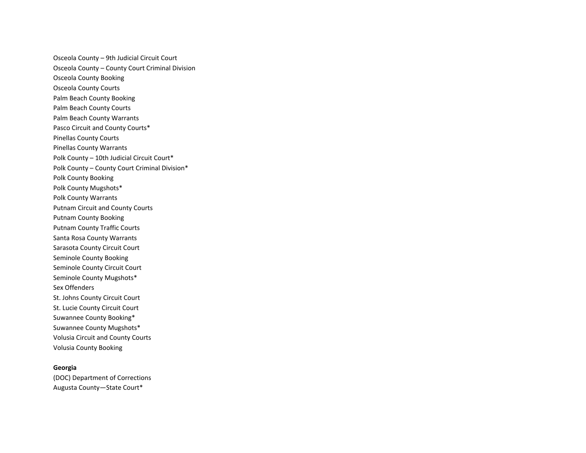Osceola County – 9th Judicial Circuit Court Osceola County – County Court Criminal Division Osceola County Booking Osceola County Courts Palm Beach County Booking Palm Beach County Courts Palm Beach County Warrants Pasco Circuit and County Courts\* Pinellas County Courts Pinellas County Warrants Polk County – 10th Judicial Circuit Court\* Polk County – County Court Criminal Division\* Polk County Booking Polk County Mugshots\* Polk County Warrants Putnam Circuit and County Courts Putnam County Booking Putnam County Traffic Courts Santa Rosa County Warrants Sarasota County Circuit Court Seminole County Booking Seminole County Circuit Court Seminole County Mugshots\* Sex Offenders St. Johns County Circuit Court St. Lucie County Circuit Court Suwannee County Booking\* Suwannee County Mugshots\* Volusia Circuit and County Courts Volusia County Booking

# **Georgia**

(DOC) Department of Corrections Augusta County—State Court\*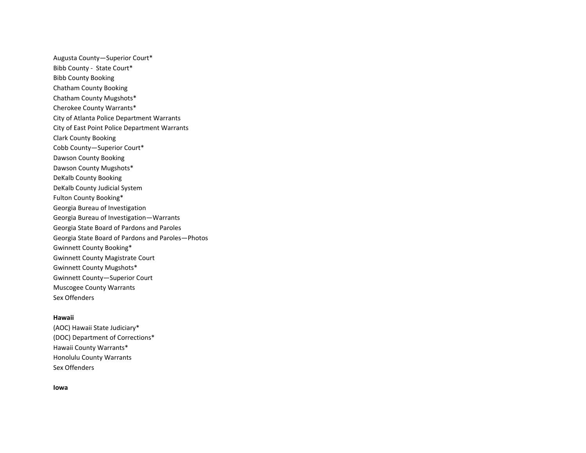Augusta County—Superior Court\* Bibb County - State Court\* Bibb County Booking Chatham County Booking Chatham County Mugshots\* Cherokee County Warrants\* City of Atlanta Police Department Warrants City of East Point Police Department Warrants Clark County Booking Cobb County—Superior Court\* Dawson County Booking Dawson County Mugshots\* DeKalb County Booking DeKalb County Judicial System Fulton County Booking\* Georgia Bureau of Investigation Georgia Bureau of Investigation—Warrants Georgia State Board of Pardons and Paroles Georgia State Board of Pardons and Paroles—Photos Gwinnett County Booking\* Gwinnett County Magistrate Court Gwinnett County Mugshots\* Gwinnett County—Superior Court Muscogee County Warrants Sex Offenders

## **Hawaii**

(AOC) Hawaii State Judiciary\* (DOC) Department of Corrections\* Hawaii County Warrants\* Honolulu County Warrants Sex Offenders

#### **Iowa**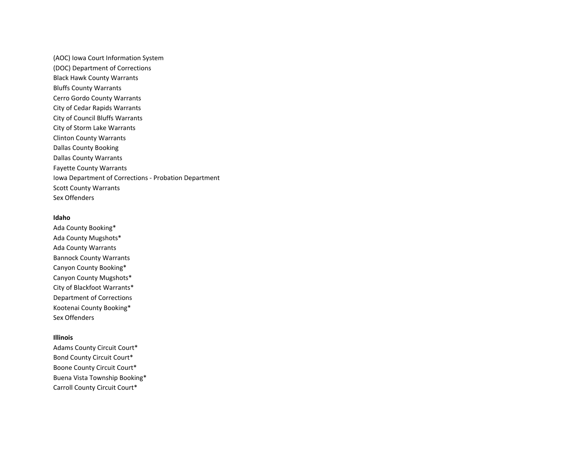(AOC) Iowa Court Information System (DOC) Department of Corrections Black Hawk County Warrants Bluffs County Warrants Cerro Gordo County Warrants City of Cedar Rapids Warrants City of Council Bluffs Warrants City of Storm Lake Warrants Clinton County Warrants Dallas County Booking Dallas County Warrants Fayette County Warrants Iowa Department of Corrections - Probation Department Scott County Warrants Sex Offenders

### **Idaho**

Ada County Booking\* Ada County Mugshots\* Ada County Warrants Bannock County Warrants Canyon County Booking\* Canyon County Mugshots\* City of Blackfoot Warrants\* Department of Corrections Kootenai County Booking\* Sex Offenders

## **Illinois**

Adams County Circuit Court\* Bond County Circuit Court\* Boone County Circuit Court\* Buena Vista Township Booking\* Carroll County Circuit Court\*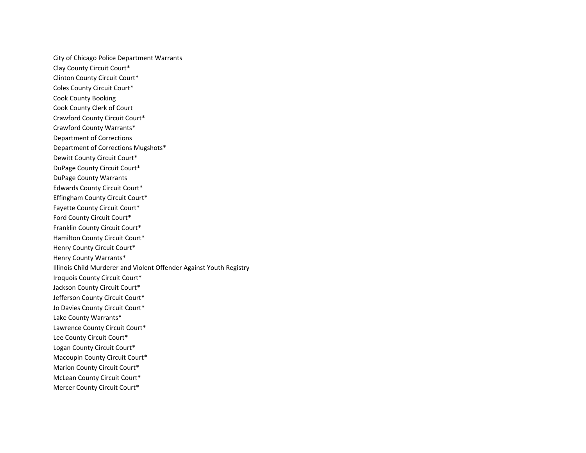City of Chicago Police Department Warrants Clay County Circuit Court\* Clinton County Circuit Court\* Coles County Circuit Court\* Cook County Booking Cook County Clerk of Court Crawford County Circuit Court\* Crawford County Warrants\* Department of Corrections Department of Corrections Mugshots\* Dewitt County Circuit Court\* DuPage County Circuit Court\* DuPage County Warrants Edwards County Circuit Court\* Effingham County Circuit Court\* Fayette County Circuit Court\* Ford County Circuit Court\* Franklin County Circuit Court\* Hamilton County Circuit Court\* Henry County Circuit Court\* Henry County Warrants\* Illinois Child Murderer and Violent Offender Against Youth Registry Iroquois County Circuit Court\* Jackson County Circuit Court\* Jefferson County Circuit Court\* Jo Davies County Circuit Court\* Lake County Warrants\* Lawrence County Circuit Court\* Lee County Circuit Court\* Logan County Circuit Court\* Macoupin County Circuit Court\* Marion County Circuit Court\* McLean County Circuit Court\* Mercer County Circuit Court\*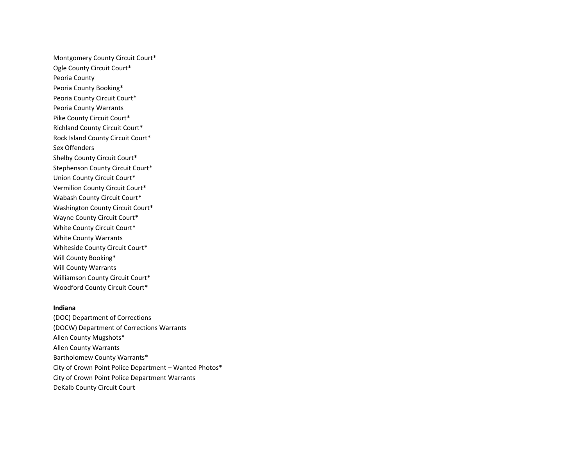Montgomery County Circuit Court\* Ogle County Circuit Court\* Peoria County Peoria County Booking\* Peoria County Circuit Court\* Peoria County Warrants Pike County Circuit Court\* Richland County Circuit Court\* Rock Island County Circuit Court\* Sex Offenders Shelby County Circuit Court\* Stephenson County Circuit Court\* Union County Circuit Court\* Vermilion County Circuit Court\* Wabash County Circuit Court\* Washington County Circuit Court\* Wayne County Circuit Court\* White County Circuit Court\* White County Warrants Whiteside County Circuit Court\* Will County Booking\* Will County Warrants Williamson County Circuit Court\* Woodford County Circuit Court\*

## **Indiana**

(DOC) Department of Corrections (DOCW) Department of Corrections Warrants Allen County Mugshots\* Allen County Warrants Bartholomew County Warrants\* City of Crown Point Police Department – Wanted Photos\* City of Crown Point Police Department Warrants DeKalb County Circuit Court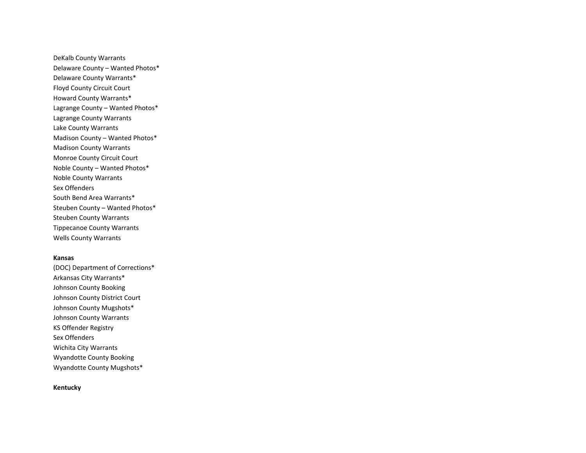DeKalb County Warrants Delaware County – Wanted Photos\* Delaware County Warrants\* Floyd County Circuit Court Howard County Warrants\* Lagrange County – Wanted Photos\* Lagrange County Warrants Lake County Warrants Madison County – Wanted Photos\* Madison County Warrants Monroe County Circuit Court Noble County – Wanted Photos\* Noble County Warrants Sex Offenders South Bend Area Warrants\* Steuben County – Wanted Photos\* Steuben County Warrants Tippecanoe County Warrants Wells County Warrants

#### **Kansas**

(DOC) Department of Corrections\* Arkansas City Warrants\* Johnson County Booking Johnson County District Court Johnson County Mugshots\* Johnson County Warrants KS Offender Registry Sex Offenders Wichita City Warrants Wyandotte County Booking Wyandotte County Mugshots\*

# **Kentucky**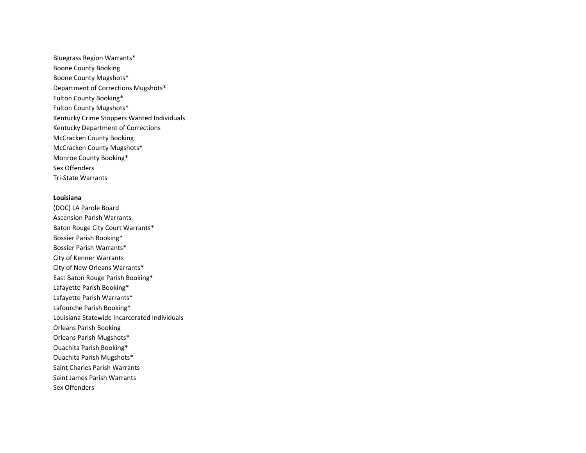Bluegrass Region Warrants\* Boone County Booking Boone County Mugshots\* Department of Corrections Mugshots\* Fulton County Booking\* Fulton County Mugshots\* Kentucky Crime Stoppers Wanted Individuals Kentucky Department of Corrections McCracken County Booking McCracken County Mugshots\* Monroe County Booking\* Sex Offenders Tri-State Warrants

## **Louisiana**

(DOC) LA Parole Board Ascension Parish Warrants Baton Rouge City Court Warrants\* Bossier Parish Booking\* Bossier Parish Warrants\* City of Kenner Warrants City of New Orleans Warrants\* East Baton Rouge Parish Booking\* Lafayette Parish Booking\* Lafayette Parish Warrants\* Lafourche Parish Booking\* Louisiana Statewide Incarcerated Individuals Orleans Parish Booking Orleans Parish Mugshots\* Ouachita Parish Booking\* Ouachita Parish Mugshots\* Saint Charles Parish Warrants Saint James Parish Warrants Sex Offenders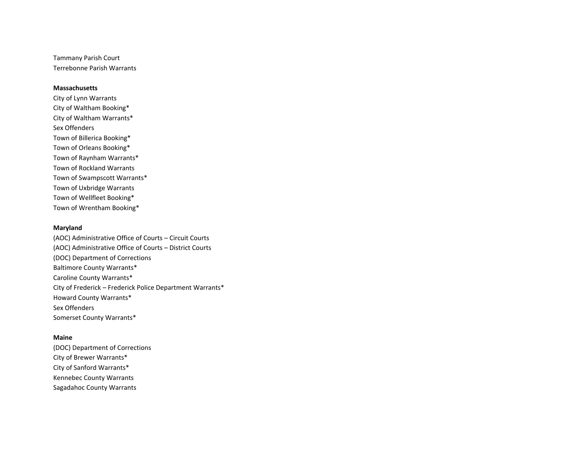Tammany Parish Court Terrebonne Parish Warrants

## **Massachusetts**

City of Lynn Warrants City of Waltham Booking\* City of Waltham Warrants\* Sex Offenders Town of Billerica Booking\* Town of Orleans Booking\* Town of Raynham Warrants\* Town of Rockland Warrants Town of Swampscott Warrants\* Town of Uxbridge Warrants Town of Wellfleet Booking\* Town of Wrentham Booking\*

#### **Maryland**

(AOC) Administrative Office of Courts – Circuit Courts (AOC) Administrative Office of Courts – District Courts (DOC) Department of Corrections Baltimore County Warrants\* Caroline County Warrants\* City of Frederick – Frederick Police Department Warrants\* Howard County Warrants\* Sex Offenders Somerset County Warrants\*

## **Maine**

(DOC) Department of Corrections City of Brewer Warrants\* City of Sanford Warrants\* Kennebec County Warrants Sagadahoc County Warrants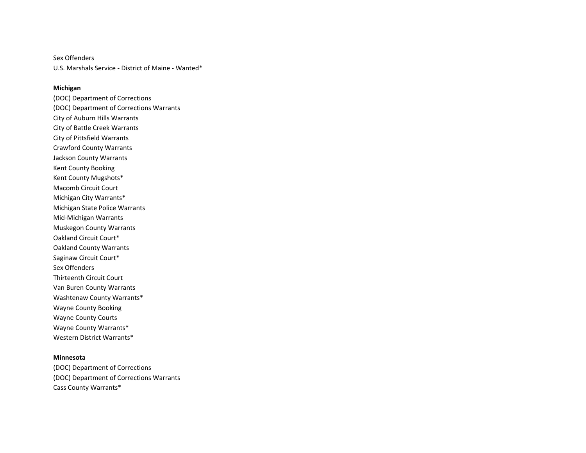Sex Offenders U.S. Marshals Service - District of Maine - Wanted\*

## **Michigan**

(DOC) Department of Corrections (DOC) Department of Corrections Warrants City of Auburn Hills Warrants City of Battle Creek Warrants City of Pittsfield Warrants Crawford County Warrants Jackson County Warrants Kent County Booking Kent County Mugshots\* Macomb Circuit Court Michigan City Warrants\* Michigan State Police Warrants Mid-Michigan Warrants Muskegon County Warrants Oakland Circuit Court\* Oakland County Warrants Saginaw Circuit Court\* Sex Offenders Thirteenth Circuit Court Van Buren County Warrants Washtenaw County Warrants\* Wayne County Booking Wayne County Courts Wayne County Warrants\* Western District Warrants\*

## **Minnesota**

(DOC) Department of Corrections (DOC) Department of Corrections Warrants Cass County Warrants\*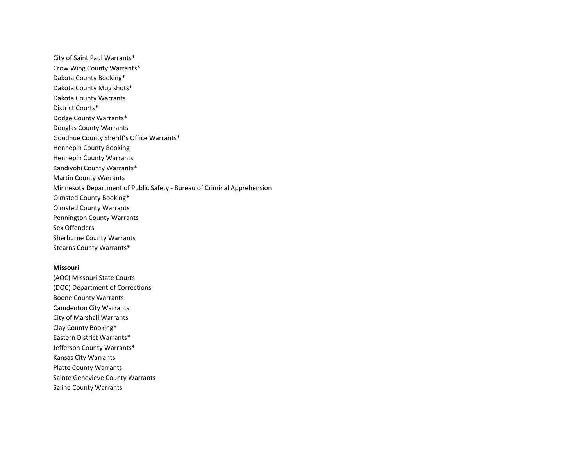City of Saint Paul Warrants\* Crow Wing County Warrants\* Dakota County Booking\* Dakota County Mug shots\* Dakota County Warrants District Courts\* Dodge County Warrants\* Douglas County Warrants Goodhue County Sheriff's Office Warrants\* Hennepin County Booking Hennepin County Warrants Kandiyohi County Warrants\* Martin County Warrants Minnesota Department of Public Safety - Bureau of Criminal Apprehension Olmsted County Booking\* Olmsted County Warrants Pennington County Warrants Sex Offenders Sherburne County Warrants Stearns County Warrants\*

#### **Missouri**

(AOC) Missouri State Courts (DOC) Department of Corrections Boone County Warrants Camdenton City Warrants City of Marshall Warrants Clay County Booking\* Eastern District Warrants\* Jefferson County Warrants\* Kansas City Warrants Platte County Warrants Sainte Genevieve County Warrants Saline County Warrants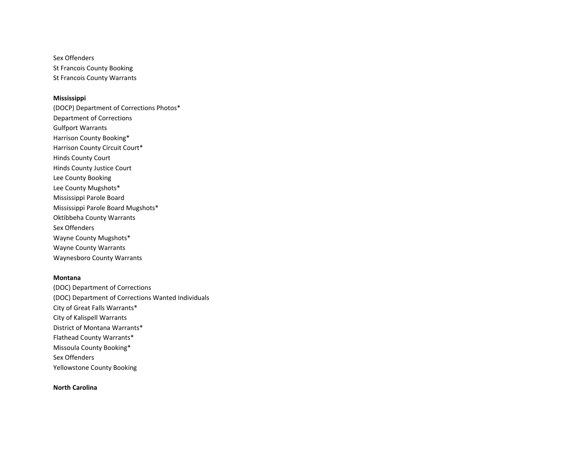Sex Offenders St Francois County Booking St Francois County Warrants

#### **Mississippi**

(DOCP) Department of Corrections Photos\* Department of Corrections Gulfport Warrants Harrison County Booking\* Harrison County Circuit Court\* Hinds County Court Hinds County Justice Court Lee County Booking Lee County Mugshots\* Mississippi Parole Board Mississippi Parole Board Mugshots\* Oktibbeha County Warrants Sex Offenders Wayne County Mugshots\* Wayne County Warrants Waynesboro County Warrants

## **Montana**

(DOC) Department of Corrections (DOC) Department of Corrections Wanted Individuals City of Great Falls Warrants\* City of Kalispell Warrants District of Montana Warrants\* Flathead County Warrants\* Missoula County Booking\* Sex Offenders Yellowstone County Booking

**North Carolina**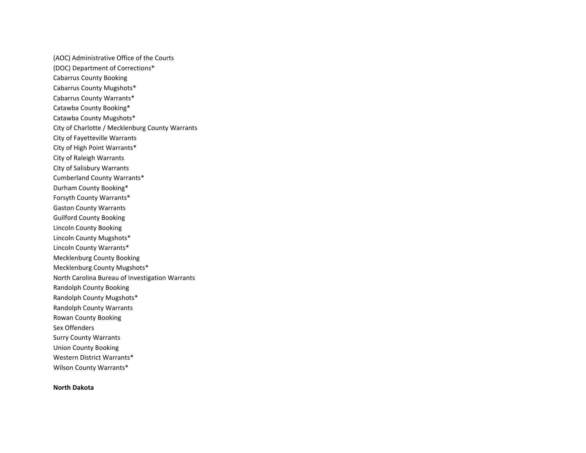(AOC) Administrative Office of the Courts (DOC) Department of Corrections\* Cabarrus County Booking Cabarrus County Mugshots\* Cabarrus County Warrants\* Catawba County Booking\* Catawba County Mugshots\* City of Charlotte / Mecklenburg County Warrants City of Fayetteville Warrants City of High Point Warrants\* City of Raleigh Warrants City of Salisbury Warrants Cumberland County Warrants\* Durham County Booking\* Forsyth County Warrants\* Gaston County Warrants Guilford County Booking Lincoln County Booking Lincoln County Mugshots\* Lincoln County Warrants\* Mecklenburg County Booking Mecklenburg County Mugshots\* North Carolina Bureau of Investigation Warrants Randolph County Booking Randolph County Mugshots\* Randolph County Warrants Rowan County Booking Sex Offenders Surry County Warrants Union County Booking Western District Warrants\* Wilson County Warrants\*

**North Dakota**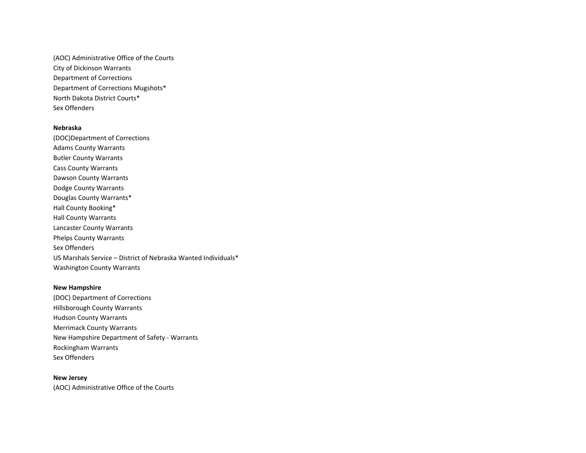(AOC) Administrative Office of the Courts City of Dickinson Warrants Department of Corrections Department of Corrections Mugshots\* North Dakota District Courts\* Sex Offenders

#### **Nebraska**

(DOC)Department of Corrections Adams County Warrants Butler County Warrants Cass County Warrants Dawson County Warrants Dodge County Warrants Douglas County Warrants\* Hall County Booking\* Hall County Warrants Lancaster County Warrants Phelps County Warrants Sex Offenders US Marshals Service – District of Nebraska Wanted Individuals\* Washington County Warrants

## **New Hampshire**

(DOC) Department of Corrections Hillsborough County Warrants Hudson County Warrants Merrimack County Warrants New Hampshire Department of Safety - Warrants Rockingham Warrants Sex Offenders

## **New Jersey**

(AOC) Administrative Office of the Courts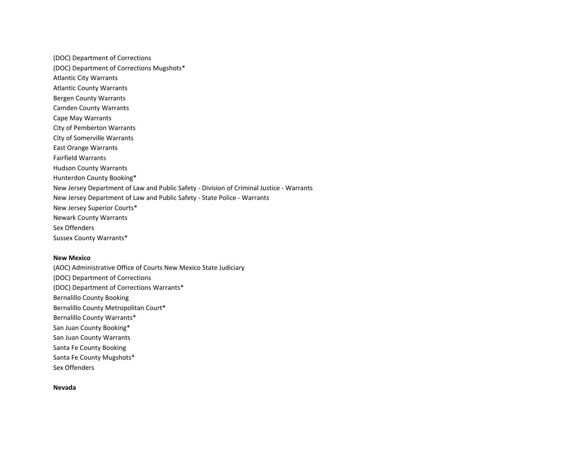(DOC) Department of Corrections (DOC) Department of Corrections Mugshots\* Atlantic City Warrants Atlantic County Warrants Bergen County Warrants Camden County Warrants Cape May Warrants City of Pemberton Warrants City of Somerville Warrants East Orange Warrants Fairfield Warrants Hudson County Warrants Hunterdon County Booking\* New Jersey Department of Law and Public Safety - Division of Criminal Justice - Warrants New Jersey Department of Law and Public Safety - State Police - Warrants New Jersey Superior Courts\* Newark County Warrants Sex Offenders Sussex County Warrants\*

#### **New Mexico**

(AOC) Administrative Office of Courts New Mexico State Judiciary (DOC) Department of Corrections (DOC) Department of Corrections Warrants\* Bernalillo County Booking Bernalillo County Metropolitan Court\* Bernalillo County Warrants\* San Juan County Booking\* San Juan County Warrants Santa Fe County Booking Santa Fe County Mugshots\* Sex Offenders

### **Nevada**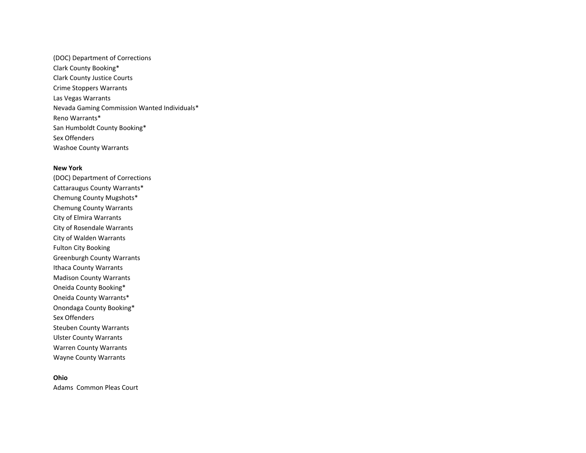(DOC) Department of Corrections Clark County Booking\* Clark County Justice Courts Crime Stoppers Warrants Las Vegas Warrants Nevada Gaming Commission Wanted Individuals\* Reno Warrants\* San Humboldt County Booking\* Sex Offenders Washoe County Warrants

#### **New York**

(DOC) Department of Corrections Cattaraugus County Warrants\* Chemung County Mugshots\* Chemung County Warrants City of Elmira Warrants City of Rosendale Warrants City of Walden Warrants Fulton City Booking Greenburgh County Warrants Ithaca County Warrants Madison County Warrants Oneida County Booking\* Oneida County Warrants\* Onondaga County Booking\* Sex Offenders Steuben County Warrants Ulster County Warrants Warren County Warrants Wayne County Warrants

## **Ohio**

Adams Common Pleas Court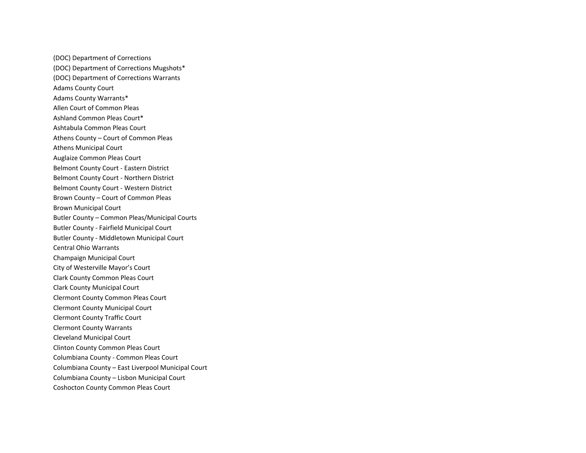(DOC) Department of Corrections (DOC) Department of Corrections Mugshots\* (DOC) Department of Corrections Warrants Adams County Court Adams County Warrants\* Allen Court of Common Pleas Ashland Common Pleas Court\* Ashtabula Common Pleas Court Athens County – Court of Common Pleas Athens Municipal Court Auglaize Common Pleas Court Belmont County Court - Eastern District Belmont County Court - Northern District Belmont County Court - Western District Brown County – Court of Common Pleas Brown Municipal Court Butler County – Common Pleas/Municipal Courts Butler County - Fairfield Municipal Court Butler County - Middletown Municipal Court Central Ohio Warrants Champaign Municipal Court City of Westerville Mayor's Court Clark County Common Pleas Court Clark County Municipal Court Clermont County Common Pleas Court Clermont County Municipal Court Clermont County Traffic Court Clermont County Warrants Cleveland Municipal Court Clinton County Common Pleas Court Columbiana County - Common Pleas Court Columbiana County – East Liverpool Municipal Court Columbiana County – Lisbon Municipal Court Coshocton County Common Pleas Court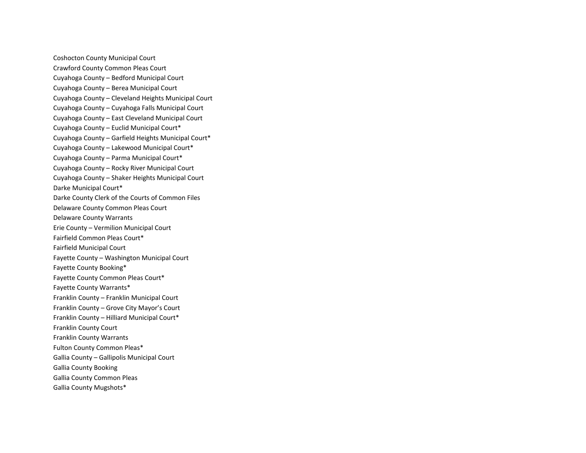Coshocton County Municipal Court Crawford County Common Pleas Court Cuyahoga County – Bedford Municipal Court Cuyahoga County – Berea Municipal Court Cuyahoga County – Cleveland Heights Municipal Court Cuyahoga County – Cuyahoga Falls Municipal Court Cuyahoga County – East Cleveland Municipal Court Cuyahoga County – Euclid Municipal Court\* Cuyahoga County – Garfield Heights Municipal Court\* Cuyahoga County – Lakewood Municipal Court\* Cuyahoga County – Parma Municipal Court\* Cuyahoga County – Rocky River Municipal Court Cuyahoga County – Shaker Heights Municipal Court Darke Municipal Court\* Darke County Clerk of the Courts of Common Files Delaware County Common Pleas Court Delaware County Warrants Erie County – Vermilion Municipal Court Fairfield Common Pleas Court\* Fairfield Municipal Court Fayette County – Washington Municipal Court Fayette County Booking\* Fayette County Common Pleas Court\* Fayette County Warrants\* Franklin County – Franklin Municipal Court Franklin County – Grove City Mayor's Court Franklin County – Hilliard Municipal Court\* Franklin County Court Franklin County Warrants Fulton County Common Pleas\* Gallia County – Gallipolis Municipal Court Gallia County Booking Gallia County Common Pleas Gallia County Mugshots\*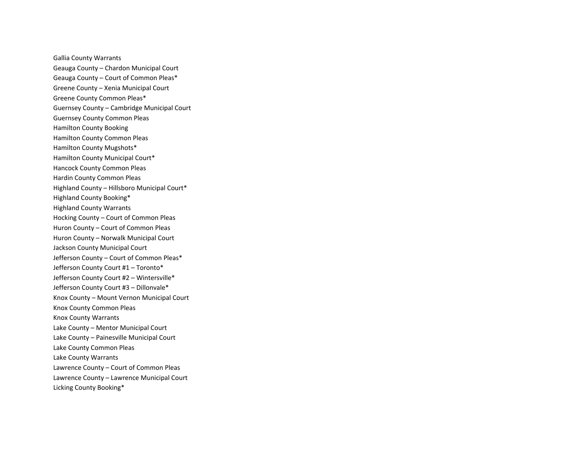Gallia County Warrants Geauga County – Chardon Municipal Court Geauga County – Court of Common Pleas\* Greene County – Xenia Municipal Court Greene County Common Pleas\* Guernsey County – Cambridge Municipal Court Guernsey County Common Pleas Hamilton County Booking Hamilton County Common Pleas Hamilton County Mugshots\* Hamilton County Municipal Court\* Hancock County Common Pleas Hardin County Common Pleas Highland County – Hillsboro Municipal Court\* Highland County Booking\* Highland County Warrants Hocking County – Court of Common Pleas Huron County – Court of Common Pleas Huron County – Norwalk Municipal Court Jackson County Municipal Court Jefferson County – Court of Common Pleas\* Jefferson County Court #1 – Toronto\* Jefferson County Court #2 – Wintersville\* Jefferson County Court #3 – Dillonvale\* Knox County – Mount Vernon Municipal Court Knox County Common Pleas Knox County Warrants Lake County – Mentor Municipal Court Lake County – Painesville Municipal Court Lake County Common Pleas Lake County Warrants Lawrence County – Court of Common Pleas Lawrence County – Lawrence Municipal Court Licking County Booking\*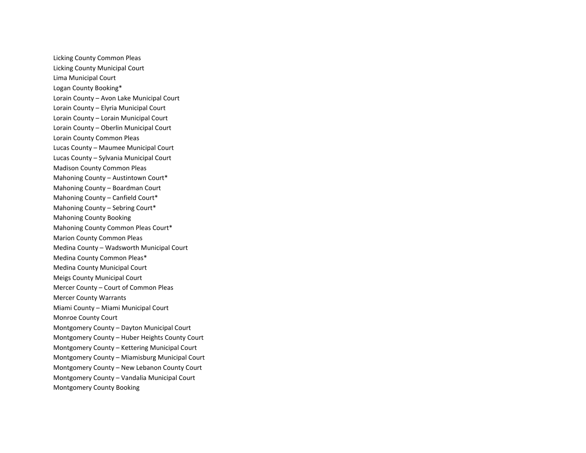Licking County Common Pleas Licking County Municipal Court Lima Municipal Court Logan County Booking\* Lorain County – Avon Lake Municipal Court Lorain County – Elyria Municipal Court Lorain County – Lorain Municipal Court Lorain County – Oberlin Municipal Court Lorain County Common Pleas Lucas County – Maumee Municipal Court Lucas County – Sylvania Municipal Court Madison County Common Pleas Mahoning County – Austintown Court\* Mahoning County – Boardman Court Mahoning County – Canfield Court\* Mahoning County – Sebring Court\* Mahoning County Booking Mahoning County Common Pleas Court\* Marion County Common Pleas Medina County – Wadsworth Municipal Court Medina County Common Pleas\* Medina County Municipal Court Meigs County Municipal Court Mercer County – Court of Common Pleas Mercer County Warrants Miami County – Miami Municipal Court Monroe County Court Montgomery County – Dayton Municipal Court Montgomery County – Huber Heights County Court Montgomery County – Kettering Municipal Court Montgomery County – Miamisburg Municipal Court Montgomery County – New Lebanon County Court Montgomery County – Vandalia Municipal Court Montgomery County Booking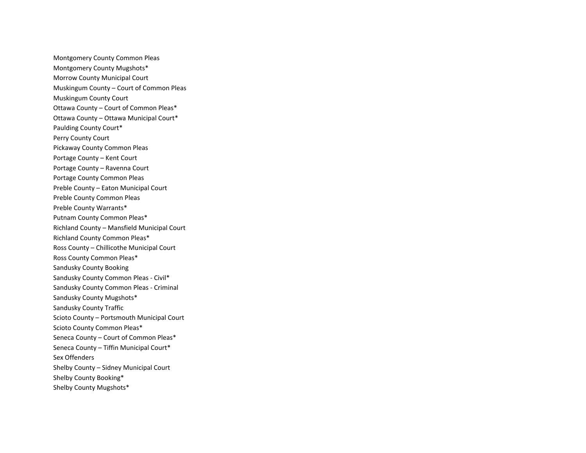Montgomery County Common Pleas Montgomery County Mugshots\* Morrow County Municipal Court Muskingum County – Court of Common Pleas Muskingum County Court Ottawa County – Court of Common Pleas\* Ottawa County – Ottawa Municipal Court\* Paulding County Court\* Perry County Court Pickaway County Common Pleas Portage County – Kent Court Portage County – Ravenna Court Portage County Common Pleas Preble County – Eaton Municipal Court Preble County Common Pleas Preble County Warrants\* Putnam County Common Pleas\* Richland County – Mansfield Municipal Court Richland County Common Pleas\* Ross County – Chillicothe Municipal Court Ross County Common Pleas\* Sandusky County Booking Sandusky County Common Pleas - Civil\* Sandusky County Common Pleas - Criminal Sandusky County Mugshots\* Sandusky County Traffic Scioto County – Portsmouth Municipal Court Scioto County Common Pleas\* Seneca County – Court of Common Pleas\* Seneca County – Tiffin Municipal Court\* Sex Offenders Shelby County – Sidney Municipal Court Shelby County Booking\* Shelby County Mugshots\*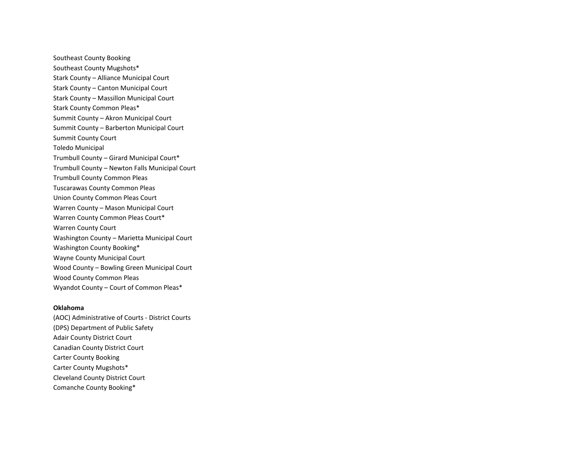Southeast County Booking Southeast County Mugshots\* Stark County – Alliance Municipal Court Stark County – Canton Municipal Court Stark County – Massillon Municipal Court Stark County Common Pleas\* Summit County – Akron Municipal Court Summit County – Barberton Municipal Court Summit County Court Toledo Municipal Trumbull County – Girard Municipal Court\* Trumbull County – Newton Falls Municipal Court Trumbull County Common Pleas Tuscarawas County Common Pleas Union County Common Pleas Court Warren County – Mason Municipal Court Warren County Common Pleas Court\* Warren County Court Washington County – Marietta Municipal Court Washington County Booking\* Wayne County Municipal Court Wood County – Bowling Green Municipal Court Wood County Common Pleas Wyandot County – Court of Common Pleas\*

## **Oklahoma**

(AOC) Administrative of Courts - District Courts (DPS) Department of Public Safety Adair County District Court Canadian County District Court Carter County Booking Carter County Mugshots\* Cleveland County District Court Comanche County Booking\*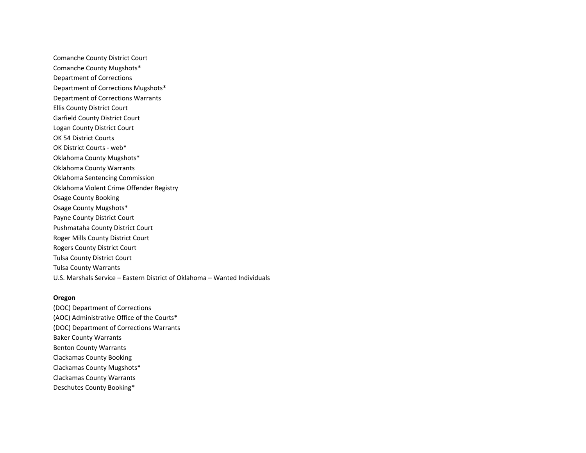Comanche County District Court Comanche County Mugshots\* Department of Corrections Department of Corrections Mugshots\* Department of Corrections Warrants Ellis County District Court Garfield County District Court Logan County District Court OK 54 District Courts OK District Courts - web\* Oklahoma County Mugshots\* Oklahoma County Warrants Oklahoma Sentencing Commission Oklahoma Violent Crime Offender Registry Osage County Booking Osage County Mugshots\* Payne County District Court Pushmataha County District Court Roger Mills County District Court Rogers County District Court Tulsa County District Court Tulsa County Warrants U.S. Marshals Service – Eastern District of Oklahoma – Wanted Individuals

## **Oregon**

(DOC) Department of Corrections (AOC) Administrative Office of the Courts\* (DOC) Department of Corrections Warrants Baker County Warrants Benton County Warrants Clackamas County Booking Clackamas County Mugshots\* Clackamas County Warrants Deschutes County Booking\*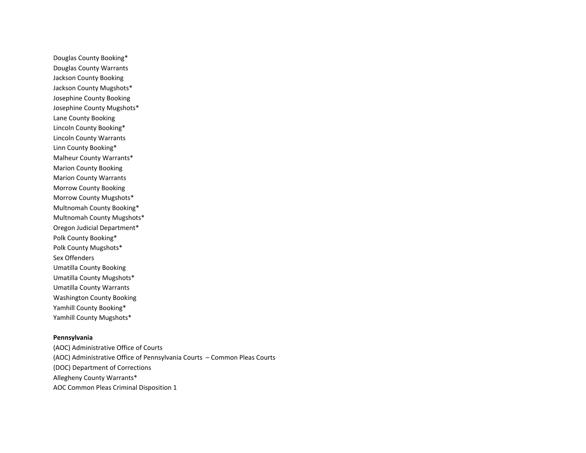Douglas County Booking\* Douglas County Warrants Jackson County Booking Jackson County Mugshots\* Josephine County Booking Josephine County Mugshots\* Lane County Booking Lincoln County Booking\* Lincoln County Warrants Linn County Booking\* Malheur County Warrants\* Marion County Booking Marion County Warrants Morrow County Booking Morrow County Mugshots\* Multnomah County Booking\* Multnomah County Mugshots\* Oregon Judicial Department\* Polk County Booking\* Polk County Mugshots\* Sex Offenders Umatilla County Booking Umatilla County Mugshots\* Umatilla County Warrants Washington County Booking Yamhill County Booking\* Yamhill County Mugshots\*

# **Pennsylvania**

(AOC) Administrative Office of Courts (AOC) Administrative Office of Pennsylvania Courts – Common Pleas Courts (DOC) Department of Corrections Allegheny County Warrants\* AOC Common Pleas Criminal Disposition 1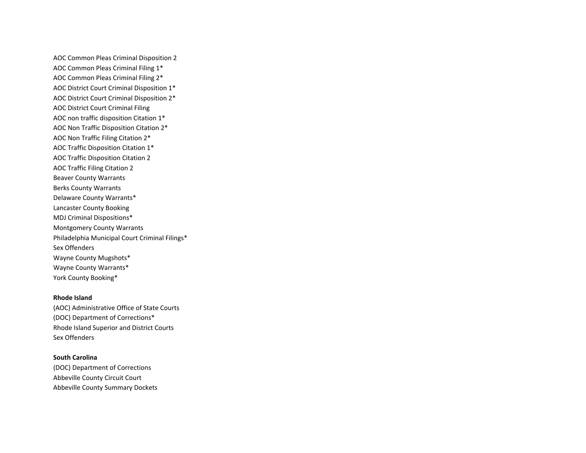AOC Common Pleas Criminal Disposition 2 AOC Common Pleas Criminal Filing 1\* AOC Common Pleas Criminal Filing 2\* AOC District Court Criminal Disposition 1\* AOC District Court Criminal Disposition 2\* AOC District Court Criminal Filing AOC non traffic disposition Citation 1\* AOC Non Traffic Disposition Citation 2\* AOC Non Traffic Filing Citation 2\* AOC Traffic Disposition Citation 1\* AOC Traffic Disposition Citation 2 AOC Traffic Filing Citation 2 Beaver County Warrants Berks County Warrants Delaware County Warrants\* Lancaster County Booking MDJ Criminal Dispositions\* Montgomery County Warrants Philadelphia Municipal Court Criminal Filings\* Sex Offenders Wayne County Mugshots\* Wayne County Warrants\* York County Booking\*

#### **Rhode Island**

(AOC) Administrative Office of State Courts (DOC) Department of Corrections\* Rhode Island Superior and District Courts Sex Offenders

## **South Carolina**

(DOC) Department of Corrections Abbeville County Circuit Court Abbeville County Summary Dockets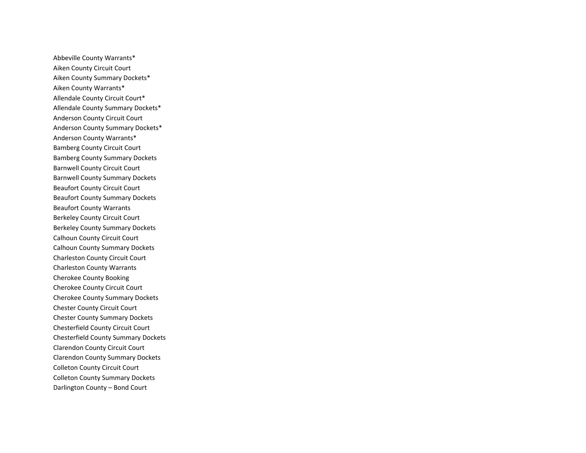Abbeville County Warrants\* Aiken County Circuit Court Aiken County Summary Dockets\* Aiken County Warrants\* Allendale County Circuit Court\* Allendale County Summary Dockets\* Anderson County Circuit Court Anderson County Summary Dockets\* Anderson County Warrants\* Bamberg County Circuit Court Bamberg County Summary Dockets Barnwell County Circuit Court Barnwell County Summary Dockets Beaufort County Circuit Court Beaufort County Summary Dockets Beaufort County Warrants Berkeley County Circuit Court Berkeley County Summary Dockets Calhoun County Circuit Court Calhoun County Summary Dockets Charleston County Circuit Court Charleston County Warrants Cherokee County Booking Cherokee County Circuit Court Cherokee County Summary Dockets Chester County Circuit Court Chester County Summary Dockets Chesterfield County Circuit Court Chesterfield County Summary Dockets Clarendon County Circuit Court Clarendon County Summary Dockets Colleton County Circuit Court Colleton County Summary Dockets Darlington County – Bond Court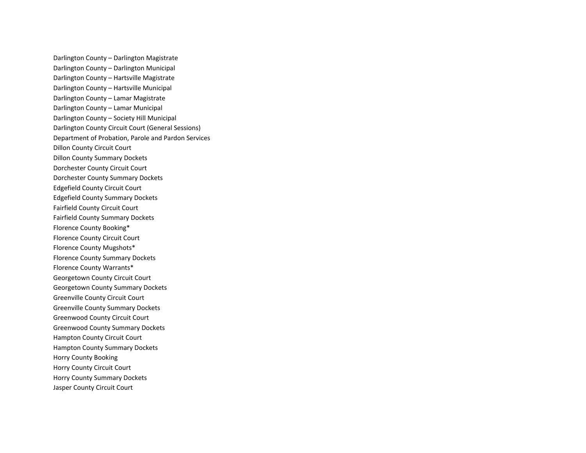Darlington County – Darlington Magistrate Darlington County – Darlington Municipal Darlington County – Hartsville Magistrate Darlington County – Hartsville Municipal Darlington County – Lamar Magistrate Darlington County – Lamar Municipal Darlington County – Society Hill Municipal Darlington County Circuit Court (General Sessions) Department of Probation, Parole and Pardon Services Dillon County Circuit Court Dillon County Summary Dockets Dorchester County Circuit Court Dorchester County Summary Dockets Edgefield County Circuit Court Edgefield County Summary Dockets Fairfield County Circuit Court Fairfield County Summary Dockets Florence County Booking\* Florence County Circuit Court Florence County Mugshots\* Florence County Summary Dockets Florence County Warrants\* Georgetown County Circuit Court Georgetown County Summary Dockets Greenville County Circuit Court Greenville County Summary Dockets Greenwood County Circuit Court Greenwood County Summary Dockets Hampton County Circuit Court Hampton County Summary Dockets Horry County Booking Horry County Circuit Court Horry County Summary Dockets Jasper County Circuit Court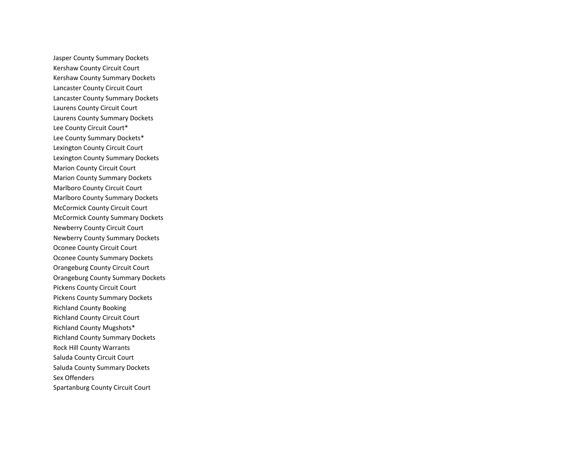Jasper County Summary Dockets Kershaw County Circuit Court Kershaw County Summary Dockets Lancaster County Circuit Court Lancaster County Summary Dockets Laurens County Circuit Court Laurens County Summary Dockets Lee County Circuit Court\* Lee County Summary Dockets\* Lexington County Circuit Court Lexington County Summary Dockets Marion County Circuit Court Marion County Summary Dockets Marlboro County Circuit Court Marlboro County Summary Dockets McCormick County Circuit Court McCormick County Summary Dockets Newberry County Circuit Court Newberry County Summary Dockets Oconee County Circuit Court Oconee County Summary Dockets Orangeburg County Circuit Court Orangeburg County Summary Dockets Pickens County Circuit Court Pickens County Summary Dockets Richland County Booking Richland County Circuit Court Richland County Mugshots\* Richland County Summary Dockets Rock Hill County Warrants Saluda County Circuit Court Saluda County Summary Dockets Sex Offenders Spartanburg County Circuit Court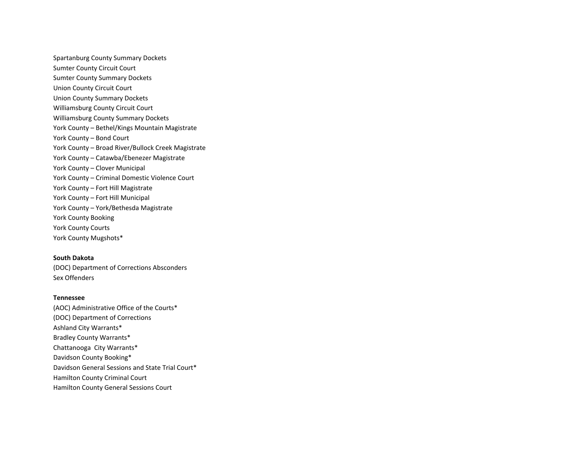Spartanburg County Summary Dockets Sumter County Circuit Court Sumter County Summary Dockets Union County Circuit Court Union County Summary Dockets Williamsburg County Circuit Court Williamsburg County Summary Dockets York County – Bethel/Kings Mountain Magistrate York County – Bond Court York County – Broad River/Bullock Creek Magistrate York County – Catawba/Ebenezer Magistrate York County – Clover Municipal York County – Criminal Domestic Violence Court York County – Fort Hill Magistrate York County – Fort Hill Municipal York County – York/Bethesda Magistrate York County Booking York County Courts York County Mugshots\*

## **South Dakota**

(DOC) Department of Corrections Absconders Sex Offenders

## **Tennessee**

(AOC) Administrative Office of the Courts\* (DOC) Department of Corrections Ashland City Warrants\* Bradley County Warrants\* Chattanooga City Warrants\* Davidson County Booking\* Davidson General Sessions and State Trial Court\* Hamilton County Criminal Court Hamilton County General Sessions Court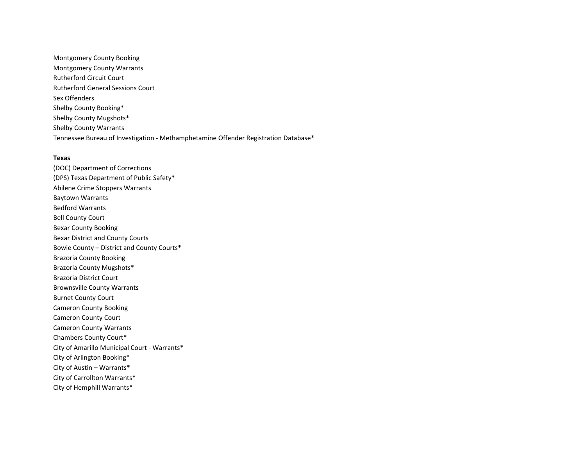Montgomery County Booking Montgomery County Warrants Rutherford Circuit Court Rutherford General Sessions Court Sex Offenders Shelby County Booking\* Shelby County Mugshots\* Shelby County Warrants Tennessee Bureau of Investigation - Methamphetamine Offender Registration Database\*

#### **Texas**

(DOC) Department of Corrections (DPS) Texas Department of Public Safety\* Abilene Crime Stoppers Warrants Baytown Warrants Bedford Warrants Bell County Court Bexar County Booking Bexar District and County Courts Bowie County – District and County Courts\* Brazoria County Booking Brazoria County Mugshots\* Brazoria District Court Brownsville County Warrants Burnet County Court Cameron County Booking Cameron County Court Cameron County Warrants Chambers County Court\* City of Amarillo Municipal Court - Warrants\* City of Arlington Booking\* City of Austin – Warrants\* City of Carrollton Warrants\* City of Hemphill Warrants\*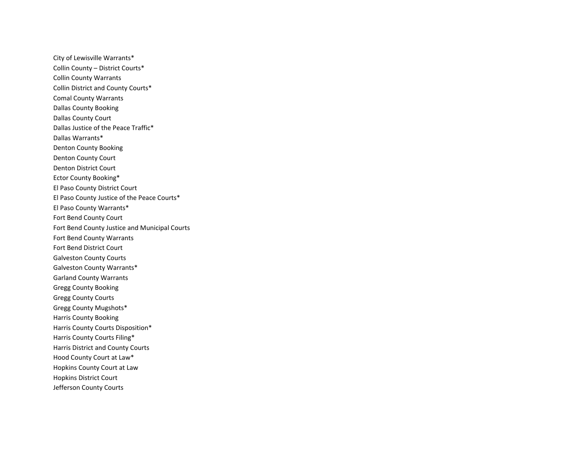City of Lewisville Warrants\* Collin County – District Courts\* Collin County Warrants Collin District and County Courts\* Comal County Warrants Dallas County Booking Dallas County Court Dallas Justice of the Peace Traffic\* Dallas Warrants\* Denton County Booking Denton County Court Denton District Court Ector County Booking\* El Paso County District Court El Paso County Justice of the Peace Courts\* El Paso County Warrants\* Fort Bend County Court Fort Bend County Justice and Municipal Courts Fort Bend County Warrants Fort Bend District Court Galveston County Courts Galveston County Warrants\* Garland County Warrants Gregg County Booking Gregg County Courts Gregg County Mugshots\* Harris County Booking Harris County Courts Disposition\* Harris County Courts Filing\* Harris District and County Courts Hood County Court at Law\* Hopkins County Court at Law Hopkins District Court Jefferson County Courts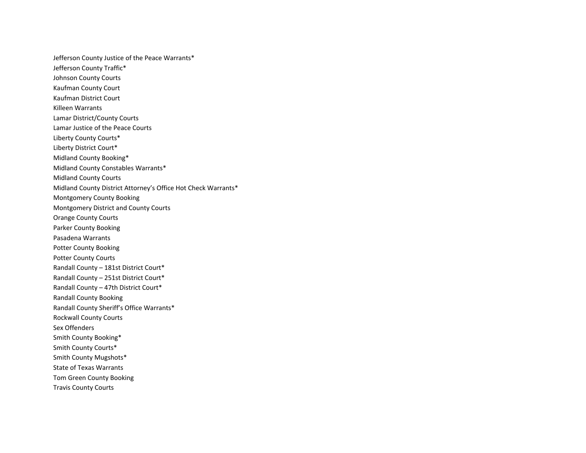Jefferson County Justice of the Peace Warrants\* Jefferson County Traffic\* Johnson County Courts Kaufman County Court Kaufman District Court Killeen Warrants Lamar District/County Courts Lamar Justice of the Peace Courts Liberty County Courts\* Liberty District Court\* Midland County Booking\* Midland County Constables Warrants\* Midland County Courts Midland County District Attorney's Office Hot Check Warrants\* Montgomery County Booking Montgomery District and County Courts Orange County Courts Parker County Booking Pasadena Warrants Potter County Booking Potter County Courts Randall County – 181st District Court\* Randall County – 251st District Court\* Randall County – 47th District Court\* Randall County Booking Randall County Sheriff's Office Warrants\* Rockwall County Courts Sex Offenders Smith County Booking\* Smith County Courts\* Smith County Mugshots\* State of Texas Warrants Tom Green County Booking Travis County Courts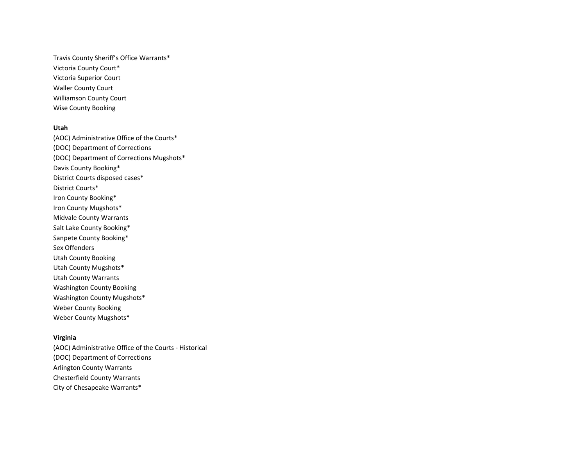Travis County Sheriff's Office Warrants\* Victoria County Court\* Victoria Superior Court Waller County Court Williamson County Court Wise County Booking

#### **Utah**

(AOC) Administrative Office of the Courts\* (DOC) Department of Corrections (DOC) Department of Corrections Mugshots\* Davis County Booking\* District Courts disposed cases\* District Courts\* Iron County Booking\* Iron County Mugshots\* Midvale County Warrants Salt Lake County Booking\* Sanpete County Booking\* Sex Offenders Utah County Booking Utah County Mugshots\* Utah County Warrants Washington County Booking Washington County Mugshots\* Weber County Booking Weber County Mugshots\*

# **Virginia**

(AOC) Administrative Office of the Courts - Historical (DOC) Department of Corrections Arlington County Warrants Chesterfield County Warrants City of Chesapeake Warrants\*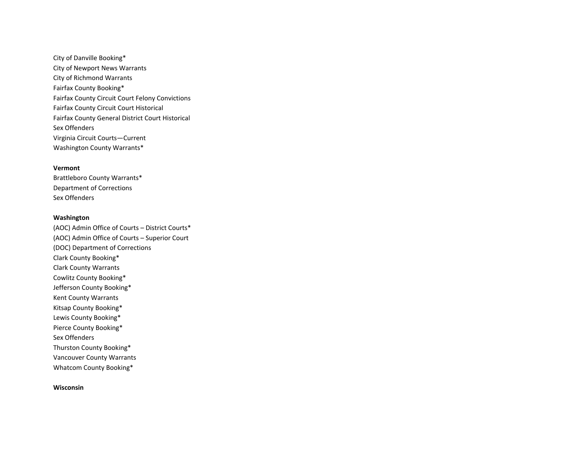City of Danville Booking\* City of Newport News Warrants City of Richmond Warrants Fairfax County Booking\* Fairfax County Circuit Court Felony Convictions Fairfax County Circuit Court Historical Fairfax County General District Court Historical Sex Offenders Virginia Circuit Courts—Current Washington County Warrants\*

## **Vermont**

Brattleboro County Warrants\* Department of Corrections Sex Offenders

## **Washington**

(AOC) Admin Office of Courts – District Courts\* (AOC) Admin Office of Courts – Superior Court (DOC) Department of Corrections Clark County Booking\* Clark County Warrants Cowlitz County Booking\* Jefferson County Booking\* Kent County Warrants Kitsap County Booking\* Lewis County Booking\* Pierce County Booking\* Sex Offenders Thurston County Booking\* Vancouver County Warrants Whatcom County Booking\*

## **Wisconsin**